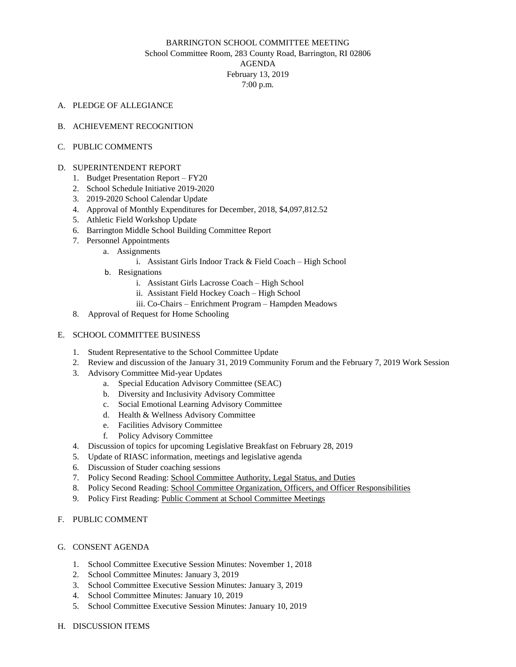# BARRINGTON SCHOOL COMMITTEE MEETING School Committee Room, 283 County Road, Barrington, RI 02806 AGENDA February 13, 2019 7:00 p.m.

A. PLEDGE OF ALLEGIANCE

#### B. ACHIEVEMENT RECOGNITION

C. PUBLIC COMMENTS

#### D. SUPERINTENDENT REPORT

- 1. Budget Presentation Report FY20
- 2. School Schedule Initiative 2019-2020
- 3. 2019-2020 School Calendar Update
- 4. Approval of Monthly Expenditures for December, 2018, \$4,097,812.52
- 5. Athletic Field Workshop Update
- 6. Barrington Middle School Building Committee Report
- 7. Personnel Appointments
	- a. Assignments
		- i. Assistant Girls Indoor Track & Field Coach High School
	- b. Resignations
		- i. Assistant Girls Lacrosse Coach High School
		- ii. Assistant Field Hockey Coach High School
		- iii. Co-Chairs Enrichment Program Hampden Meadows
- 8. Approval of Request for Home Schooling

## E. SCHOOL COMMITTEE BUSINESS

- 1. Student Representative to the School Committee Update
- 2. Review and discussion of the January 31, 2019 Community Forum and the February 7, 2019 Work Session
- 3. Advisory Committee Mid-year Updates
	- a. Special Education Advisory Committee (SEAC)
	- b. Diversity and Inclusivity Advisory Committee
	- c. Social Emotional Learning Advisory Committee
	- d. Health & Wellness Advisory Committee
	- e. Facilities Advisory Committee
	- f. Policy Advisory Committee
- 4. Discussion of topics for upcoming Legislative Breakfast on February 28, 2019
- 5. Update of RIASC information, meetings and legislative agenda
- 6. Discussion of Studer coaching sessions
- 7. Policy Second Reading: School [Committee](http://drive.google.com/file/d/0B9-Vbx7rz2TIQktUdFk0MGxJbVdEWFJIdi1TQXBVNlp0cjFF/view?usp=sharing_eil&ts=5c61f2b6) Authority, Legal Status, and Duties
- 8. Policy Second Reading: School Committee Organization, Officers, and Officer [Responsibilities](http://drive.google.com/file/d/0B9-Vbx7rz2TIMUdNTmxDNGs1NjNqYV9UVlBFZy1oVjFueDNJ/view?usp=sharing_eil&ts=5c61f2f5)
- 9. Policy First Reading: Public Comment at School [Committee](http://docs.google.com/document/d/1f0TbUVLsrIwZ56b9pJX7IP5lKyZwRONdyVmH5Rwq3YM/edit?usp=sharing_eil&ts=5c61e994) Meetings

# F. PUBLIC COMMENT

## G. CONSENT AGENDA

- 1. School Committee Executive Session Minutes: November 1, 2018
- 2. School Committee Minutes: January 3, 2019
- 3. School Committee Executive Session Minutes: January 3, 2019
- 4. School Committee Minutes: January 10, 2019
- 5. School Committee Executive Session Minutes: January 10, 2019
- H. DISCUSSION ITEMS